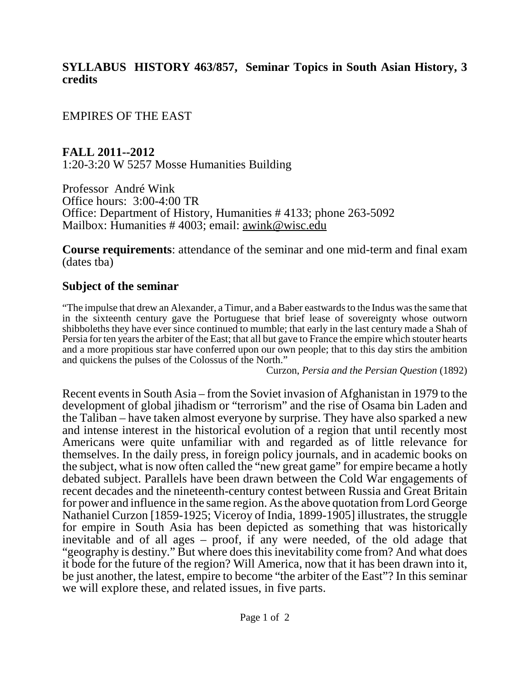#### **SYLLABUS HISTORY 463/857, Seminar Topics in South Asian History, 3 credits**

EMPIRES OF THE EAST

**FALL 2011--2012** 1:20-3:20 W 5257 Mosse Humanities Building

Professor André Wink Office hours: 3:00-4:00 TR Office: Department of History, Humanities # 4133; phone 263-5092 Mailbox: Humanities # 4003; email: awink@wisc.edu

**Course requirements**: attendance of the seminar and one mid-term and final exam (dates tba)

#### **Subject of the seminar**

"The impulse that drew an Alexander, a Timur, and a Baber eastwards to the Indus was the same that in the sixteenth century gave the Portuguese that brief lease of sovereignty whose outworn shibboleths they have ever since continued to mumble; that early in the last century made a Shah of Persia for ten years the arbiter of the East; that all but gave to France the empire which stouter hearts and a more propitious star have conferred upon our own people; that to this day stirs the ambition and quickens the pulses of the Colossus of the North."

Curzon, *Persia and the Persian Question* (1892)

Recent events in South Asia – from the Soviet invasion of Afghanistan in 1979 to the development of global jihadism or "terrorism" and the rise of Osama bin Laden and the Taliban – have taken almost everyone by surprise. They have also sparked a new and intense interest in the historical evolution of a region that until recently most Americans were quite unfamiliar with and regarded as of little relevance for themselves. In the daily press, in foreign policy journals, and in academic books on the subject, what is now often called the "new great game" for empire became a hotly debated subject. Parallels have been drawn between the Cold War engagements of recent decades and the nineteenth-century contest between Russia and Great Britain for power and influence in the same region. As the above quotation from Lord George Nathaniel Curzon [1859-1925; Viceroy of India, 1899-1905] illustrates, the struggle for empire in South Asia has been depicted as something that was historically inevitable and of all ages  $-$  proof, if any were needed, of the old adage that "geography is destiny." But where does this inevitability come from? And what does it bode for the future of the region? Will America, now that it has been drawn into it, be just another, the latest, empire to become "the arbiter of the East"? In this seminar we will explore these, and related issues, in five parts.